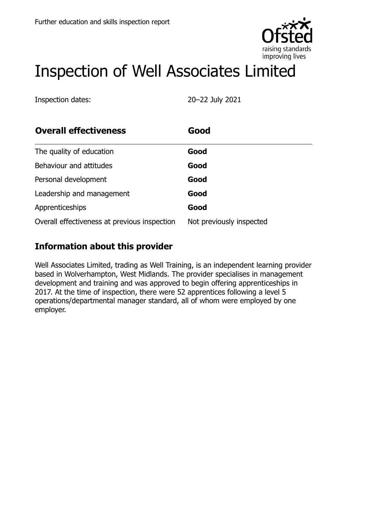

# Inspection of Well Associates Limited

Inspection dates: 20–22 July 2021

| <b>Overall effectiveness</b>                 | Good                     |
|----------------------------------------------|--------------------------|
| The quality of education                     | Good                     |
| Behaviour and attitudes                      | Good                     |
| Personal development                         | Good                     |
| Leadership and management                    | Good                     |
| Apprenticeships                              | Good                     |
| Overall effectiveness at previous inspection | Not previously inspected |

# **Information about this provider**

Well Associates Limited, trading as Well Training, is an independent learning provider based in Wolverhampton, West Midlands. The provider specialises in management development and training and was approved to begin offering apprenticeships in 2017. At the time of inspection, there were 52 apprentices following a level 5 operations/departmental manager standard, all of whom were employed by one employer.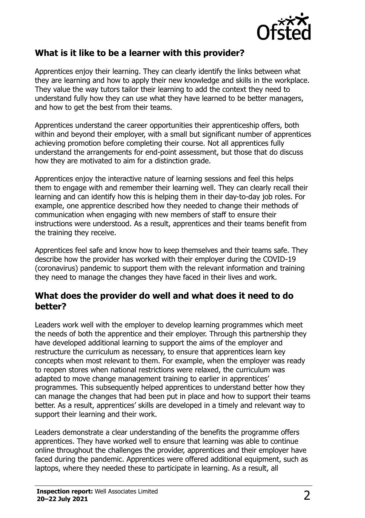

### **What is it like to be a learner with this provider?**

Apprentices enjoy their learning. They can clearly identify the links between what they are learning and how to apply their new knowledge and skills in the workplace. They value the way tutors tailor their learning to add the context they need to understand fully how they can use what they have learned to be better managers, and how to get the best from their teams.

Apprentices understand the career opportunities their apprenticeship offers, both within and beyond their employer, with a small but significant number of apprentices achieving promotion before completing their course. Not all apprentices fully understand the arrangements for end-point assessment, but those that do discuss how they are motivated to aim for a distinction grade.

Apprentices enjoy the interactive nature of learning sessions and feel this helps them to engage with and remember their learning well. They can clearly recall their learning and can identify how this is helping them in their day-to-day job roles. For example, one apprentice described how they needed to change their methods of communication when engaging with new members of staff to ensure their instructions were understood. As a result, apprentices and their teams benefit from the training they receive.

Apprentices feel safe and know how to keep themselves and their teams safe. They describe how the provider has worked with their employer during the COVID-19 (coronavirus) pandemic to support them with the relevant information and training they need to manage the changes they have faced in their lives and work.

#### **What does the provider do well and what does it need to do better?**

Leaders work well with the employer to develop learning programmes which meet the needs of both the apprentice and their employer. Through this partnership they have developed additional learning to support the aims of the employer and restructure the curriculum as necessary, to ensure that apprentices learn key concepts when most relevant to them. For example, when the employer was ready to reopen stores when national restrictions were relaxed, the curriculum was adapted to move change management training to earlier in apprentices' programmes. This subsequently helped apprentices to understand better how they can manage the changes that had been put in place and how to support their teams better. As a result, apprentices' skills are developed in a timely and relevant way to support their learning and their work.

Leaders demonstrate a clear understanding of the benefits the programme offers apprentices. They have worked well to ensure that learning was able to continue online throughout the challenges the provider, apprentices and their employer have faced during the pandemic. Apprentices were offered additional equipment, such as laptops, where they needed these to participate in learning. As a result, all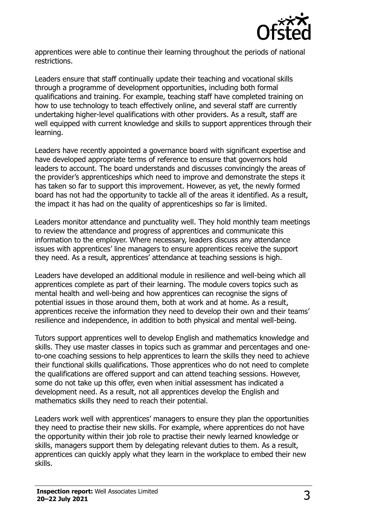

apprentices were able to continue their learning throughout the periods of national restrictions.

Leaders ensure that staff continually update their teaching and vocational skills through a programme of development opportunities, including both formal qualifications and training. For example, teaching staff have completed training on how to use technology to teach effectively online, and several staff are currently undertaking higher-level qualifications with other providers. As a result, staff are well equipped with current knowledge and skills to support apprentices through their learning.

Leaders have recently appointed a governance board with significant expertise and have developed appropriate terms of reference to ensure that governors hold leaders to account. The board understands and discusses convincingly the areas of the provider's apprenticeships which need to improve and demonstrate the steps it has taken so far to support this improvement. However, as yet, the newly formed board has not had the opportunity to tackle all of the areas it identified. As a result, the impact it has had on the quality of apprenticeships so far is limited.

Leaders monitor attendance and punctuality well. They hold monthly team meetings to review the attendance and progress of apprentices and communicate this information to the employer. Where necessary, leaders discuss any attendance issues with apprentices' line managers to ensure apprentices receive the support they need. As a result, apprentices' attendance at teaching sessions is high.

Leaders have developed an additional module in resilience and well-being which all apprentices complete as part of their learning. The module covers topics such as mental health and well-being and how apprentices can recognise the signs of potential issues in those around them, both at work and at home. As a result, apprentices receive the information they need to develop their own and their teams' resilience and independence, in addition to both physical and mental well-being.

Tutors support apprentices well to develop English and mathematics knowledge and skills. They use master classes in topics such as grammar and percentages and oneto-one coaching sessions to help apprentices to learn the skills they need to achieve their functional skills qualifications. Those apprentices who do not need to complete the qualifications are offered support and can attend teaching sessions. However, some do not take up this offer, even when initial assessment has indicated a development need. As a result, not all apprentices develop the English and mathematics skills they need to reach their potential.

Leaders work well with apprentices' managers to ensure they plan the opportunities they need to practise their new skills. For example, where apprentices do not have the opportunity within their job role to practise their newly learned knowledge or skills, managers support them by delegating relevant duties to them. As a result, apprentices can quickly apply what they learn in the workplace to embed their new skills.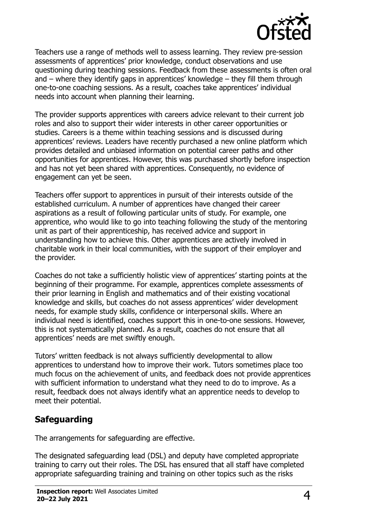

Teachers use a range of methods well to assess learning. They review pre-session assessments of apprentices' prior knowledge, conduct observations and use questioning during teaching sessions. Feedback from these assessments is often oral and – where they identify gaps in apprentices' knowledge – they fill them through one-to-one coaching sessions. As a result, coaches take apprentices' individual needs into account when planning their learning.

The provider supports apprentices with careers advice relevant to their current job roles and also to support their wider interests in other career opportunities or studies. Careers is a theme within teaching sessions and is discussed during apprentices' reviews. Leaders have recently purchased a new online platform which provides detailed and unbiased information on potential career paths and other opportunities for apprentices. However, this was purchased shortly before inspection and has not yet been shared with apprentices. Consequently, no evidence of engagement can yet be seen.

Teachers offer support to apprentices in pursuit of their interests outside of the established curriculum. A number of apprentices have changed their career aspirations as a result of following particular units of study. For example, one apprentice, who would like to go into teaching following the study of the mentoring unit as part of their apprenticeship, has received advice and support in understanding how to achieve this. Other apprentices are actively involved in charitable work in their local communities, with the support of their employer and the provider.

Coaches do not take a sufficiently holistic view of apprentices' starting points at the beginning of their programme. For example, apprentices complete assessments of their prior learning in English and mathematics and of their existing vocational knowledge and skills, but coaches do not assess apprentices' wider development needs, for example study skills, confidence or interpersonal skills. Where an individual need is identified, coaches support this in one-to-one sessions. However, this is not systematically planned. As a result, coaches do not ensure that all apprentices' needs are met swiftly enough.

Tutors' written feedback is not always sufficiently developmental to allow apprentices to understand how to improve their work. Tutors sometimes place too much focus on the achievement of units, and feedback does not provide apprentices with sufficient information to understand what they need to do to improve. As a result, feedback does not always identify what an apprentice needs to develop to meet their potential.

# **Safeguarding**

The arrangements for safeguarding are effective.

The designated safeguarding lead (DSL) and deputy have completed appropriate training to carry out their roles. The DSL has ensured that all staff have completed appropriate safeguarding training and training on other topics such as the risks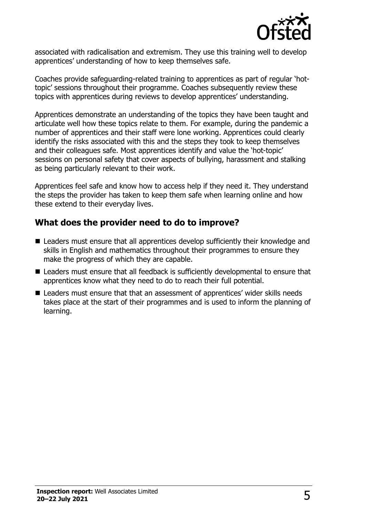

associated with radicalisation and extremism. They use this training well to develop apprentices' understanding of how to keep themselves safe.

Coaches provide safeguarding-related training to apprentices as part of regular 'hottopic' sessions throughout their programme. Coaches subsequently review these topics with apprentices during reviews to develop apprentices' understanding.

Apprentices demonstrate an understanding of the topics they have been taught and articulate well how these topics relate to them. For example, during the pandemic a number of apprentices and their staff were lone working. Apprentices could clearly identify the risks associated with this and the steps they took to keep themselves and their colleagues safe. Most apprentices identify and value the 'hot-topic' sessions on personal safety that cover aspects of bullying, harassment and stalking as being particularly relevant to their work.

Apprentices feel safe and know how to access help if they need it. They understand the steps the provider has taken to keep them safe when learning online and how these extend to their everyday lives.

## **What does the provider need to do to improve?**

- Leaders must ensure that all apprentices develop sufficiently their knowledge and skills in English and mathematics throughout their programmes to ensure they make the progress of which they are capable.
- Leaders must ensure that all feedback is sufficiently developmental to ensure that apprentices know what they need to do to reach their full potential.
- Leaders must ensure that that an assessment of apprentices' wider skills needs takes place at the start of their programmes and is used to inform the planning of learning.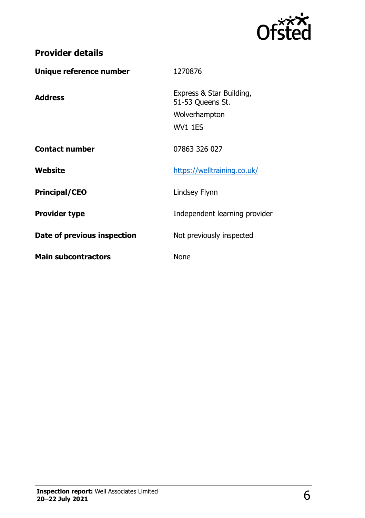

# **Provider details**

| Unique reference number     | 1270876                                                                  |
|-----------------------------|--------------------------------------------------------------------------|
| <b>Address</b>              | Express & Star Building,<br>51-53 Queens St.<br>Wolverhampton<br>WV1 1ES |
| <b>Contact number</b>       | 07863 326 027                                                            |
| Website                     | https://welltraining.co.uk/                                              |
| <b>Principal/CEO</b>        | Lindsey Flynn                                                            |
| <b>Provider type</b>        | Independent learning provider                                            |
| Date of previous inspection | Not previously inspected                                                 |
| <b>Main subcontractors</b>  | <b>None</b>                                                              |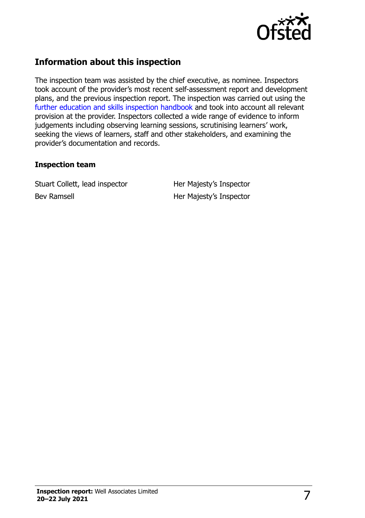

# **Information about this inspection**

The inspection team was assisted by the chief executive, as nominee. Inspectors took account of the provider's most recent self-assessment report and development plans, and the previous inspection report. The inspection was carried out using the [further education and skills inspection handbook](http://www.gov.uk/government/publications/further-education-and-skills-inspection-handbook-eif) and took into account all relevant provision at the provider. Inspectors collected a wide range of evidence to inform judgements including observing learning sessions, scrutinising learners' work, seeking the views of learners, staff and other stakeholders, and examining the provider's documentation and records.

#### **Inspection team**

Stuart Collett, lead inspector Her Majesty's Inspector Bev Ramsell **Her Majesty's Inspector**